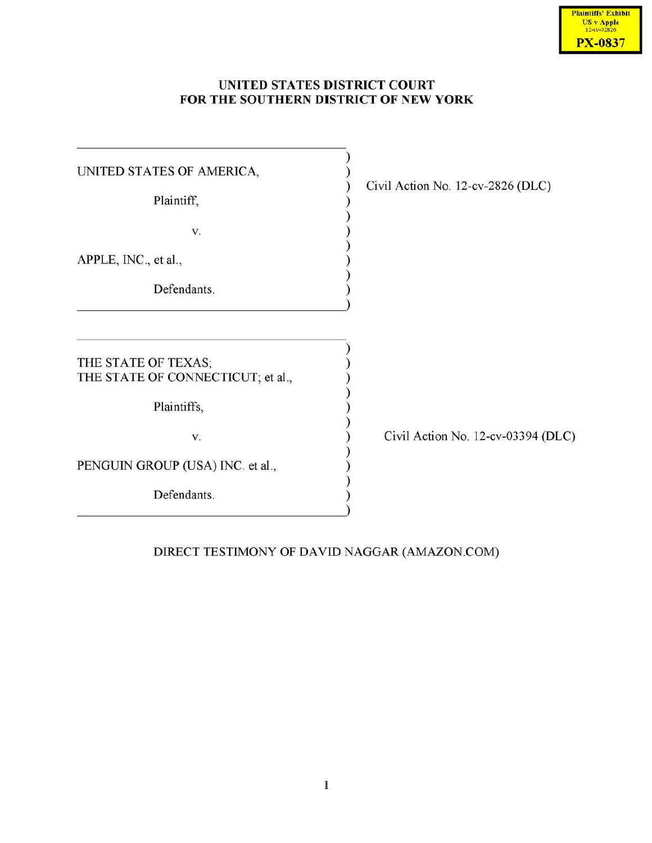# **UNITED STATES DISTRICT COURT FOR THE SOUTHERN DISTRICT OF NEW YORK**

| UNITED STATES OF AMERICA,<br>Plaintiff, | Civil Action No. 12-cv-2826 (DLC)  |
|-----------------------------------------|------------------------------------|
| V.                                      |                                    |
| APPLE, INC., et al.,                    |                                    |
| Defendants.                             |                                    |
|                                         |                                    |
| THE STATE OF TEXAS;                     |                                    |
| THE STATE OF CONNECTICUT; et al.,       |                                    |
| Plaintiffs,                             |                                    |
| V.                                      | Civil Action No. 12-cv-03394 (DLC) |
| PENGUIN GROUP (USA) INC. et al.,        |                                    |
| Defendants.                             |                                    |
|                                         |                                    |

# DIRECT TESTIMONY OF DAVID NAGGAR (AMAZON. COM)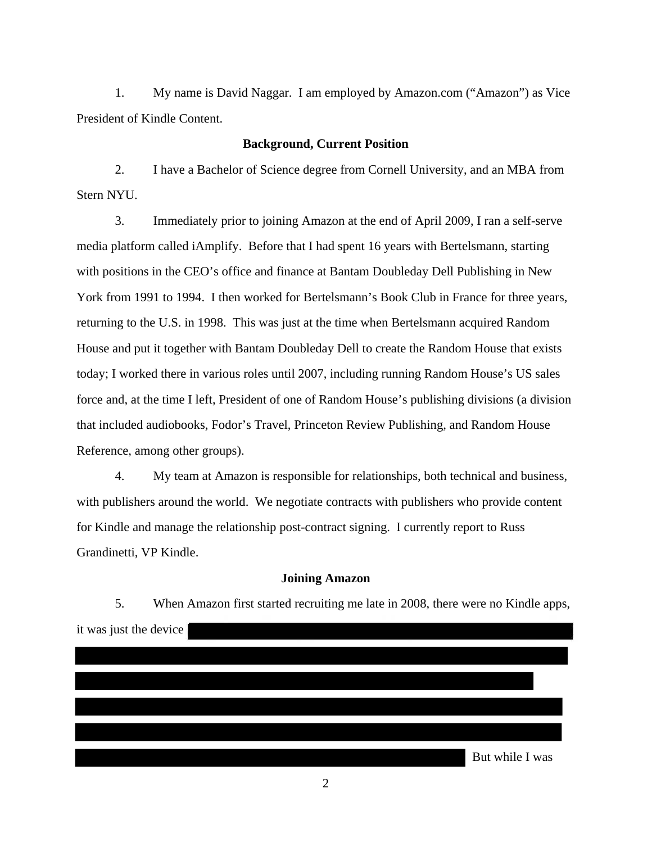1. My name is David Naggar. I am employed by Amazon.com ("Amazon") as Vice President of Kindle Content.

### **Background, Current Position**

2. I have a Bachelor of Science degree from Cornell University, and an MBA from Stern NYU.

3. Immediately prior to joining Amazon at the end of April 2009, I ran a self-serve media platform called iAmplify. Before that I had spent 16 years with Bertelsmann, starting with positions in the CEO's office and finance at Bantam Doubleday Dell Publishing in New York from 1991 to 1994. I then worked for Bertelsmann's Book Club in France for three years, returning to the U.S. in 1998. This was just at the time when Bertelsmann acquired Random House and put it together with Bantam Doubleday Dell to create the Random House that exists today; I worked there in various roles until 2007, including running Random House's US sales force and, at the time I left, President of one of Random House's publishing divisions (a division that included audiobooks, Fodor's Travel, Princeton Review Publishing, and Random House Reference, among other groups).

4. My team at Amazon is responsible for relationships, both technical and business, with publishers around the world. We negotiate contracts with publishers who provide content for Kindle and manage the relationship post-contract signing. I currently report to Russ Grandinetti, VP Kindle.

## **Joining Amazon**

5. When Amazon first started recruiting me late in 2008, there were no Kindle apps, it was just the device

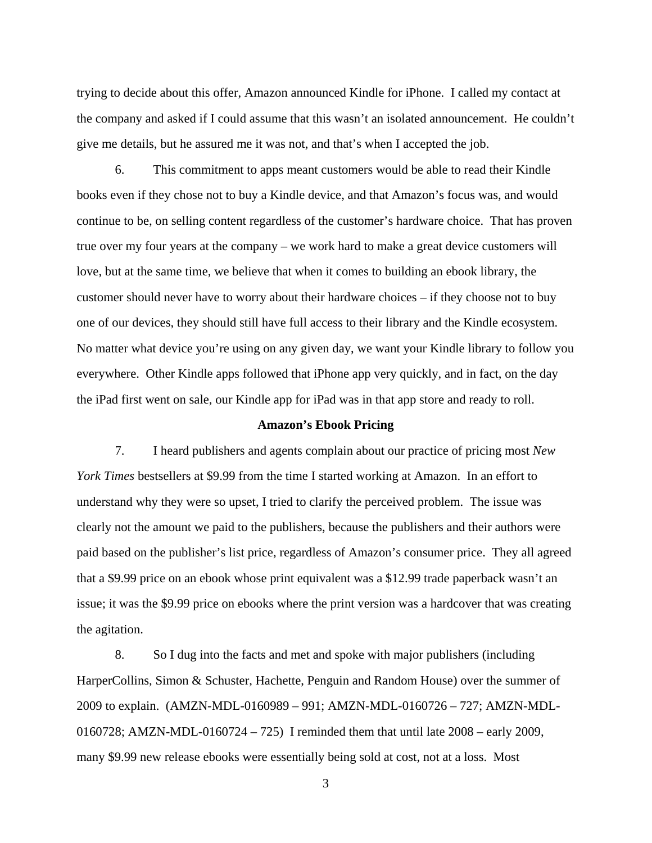trying to decide about this offer, Amazon announced Kindle for iPhone. I called my contact at the company and asked if I could assume that this wasn't an isolated announcement. He couldn't give me details, but he assured me it was not, and that's when I accepted the job.

6. This commitment to apps meant customers would be able to read their Kindle books even if they chose not to buy a Kindle device, and that Amazon's focus was, and would continue to be, on selling content regardless of the customer's hardware choice. That has proven true over my four years at the company – we work hard to make a great device customers will love, but at the same time, we believe that when it comes to building an ebook library, the customer should never have to worry about their hardware choices – if they choose not to buy one of our devices, they should still have full access to their library and the Kindle ecosystem. No matter what device you're using on any given day, we want your Kindle library to follow you everywhere. Other Kindle apps followed that iPhone app very quickly, and in fact, on the day the iPad first went on sale, our Kindle app for iPad was in that app store and ready to roll.

#### **Amazon's Ebook Pricing**

7. I heard publishers and agents complain about our practice of pricing most *New York Times* bestsellers at \$9.99 from the time I started working at Amazon. In an effort to understand why they were so upset, I tried to clarify the perceived problem. The issue was clearly not the amount we paid to the publishers, because the publishers and their authors were paid based on the publisher's list price, regardless of Amazon's consumer price. They all agreed that a \$9.99 price on an ebook whose print equivalent was a \$12.99 trade paperback wasn't an issue; it was the \$9.99 price on ebooks where the print version was a hardcover that was creating the agitation.

8. So I dug into the facts and met and spoke with major publishers (including HarperCollins, Simon & Schuster, Hachette, Penguin and Random House) over the summer of 2009 to explain. (AMZN-MDL-0160989 – 991; AMZN-MDL-0160726 – 727; AMZN-MDL-0160728; AMZN-MDL-0160724 – 725) I reminded them that until late 2008 – early 2009, many \$9.99 new release ebooks were essentially being sold at cost, not at a loss. Most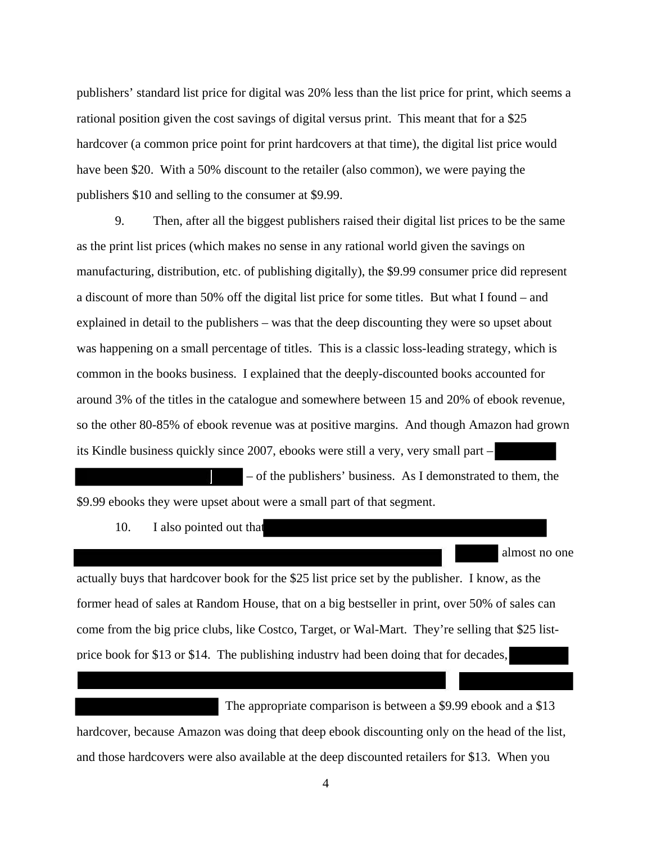publishers' standard list price for digital was 20% less than the list price for print, which seems a rational position given the cost savings of digital versus print. This meant that for a \$25 hardcover (a common price point for print hardcovers at that time), the digital list price would have been \$20. With a 50% discount to the retailer (also common), we were paying the publishers \$10 and selling to the consumer at \$9.99.

9. Then, after all the biggest publishers raised their digital list prices to be the same as the print list prices (which makes no sense in any rational world given the savings on manufacturing, distribution, etc. of publishing digitally), the \$9.99 consumer price did represent a discount of more than 50% off the digital list price for some titles. But what I found – and explained in detail to the publishers – was that the deep discounting they were so upset about was happening on a small percentage of titles. This is a classic loss-leading strategy, which is common in the books business. I explained that the deeply-discounted books accounted for around 3% of the titles in the catalogue and somewhere between 15 and 20% of ebook revenue, so the other 80-85% of ebook revenue was at positive margins. And though Amazon had grown its Kindle business quickly since 2007, ebooks were still a very, very small part –

– of the publishers' business. As I demonstrated to them, the \$9.99 ebooks they were upset about were a small part of that segment.

10. I also pointed out that

actually buys that hardcover book for the \$25 list price set by the publisher. I know, as the former head of sales at Random House, that on a big bestseller in print, over 50% of sales can come from the big price clubs, like Costco, Target, or Wal-Mart. They're selling that \$25 listprice book for \$13 or \$14. The publishing industry had been doing that for decades,

almost no one

 The appropriate comparison is between a \$9.99 ebook and a \$13 hardcover, because Amazon was doing that deep ebook discounting only on the head of the list, and those hardcovers were also available at the deep discounted retailers for \$13. When you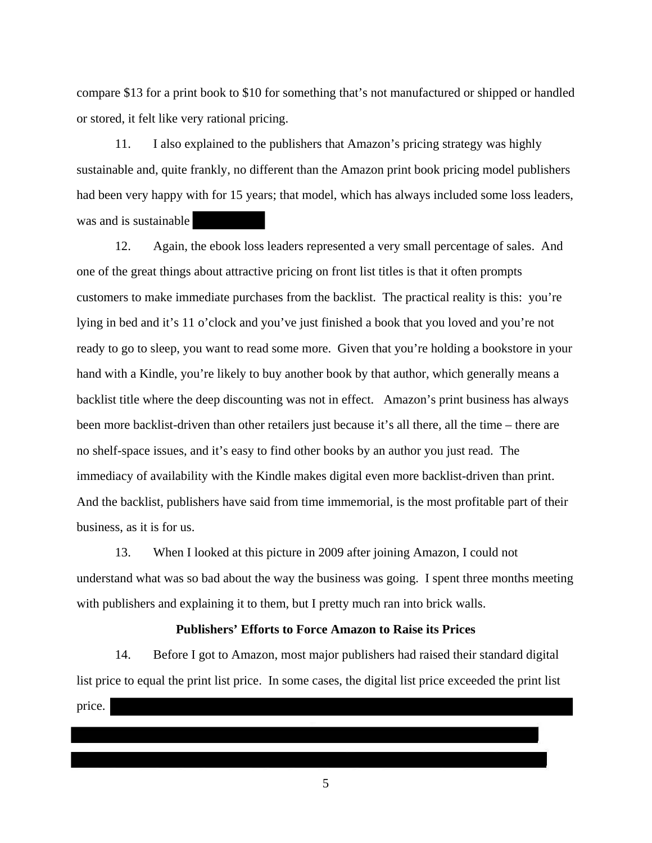compare \$13 for a print book to \$10 for something that's not manufactured or shipped or handled or stored, it felt like very rational pricing.

11. I also explained to the publishers that Amazon's pricing strategy was highly sustainable and, quite frankly, no different than the Amazon print book pricing model publishers had been very happy with for 15 years; that model, which has always included some loss leaders, was and is sustainable

12. Again, the ebook loss leaders represented a very small percentage of sales. And one of the great things about attractive pricing on front list titles is that it often prompts customers to make immediate purchases from the backlist. The practical reality is this: you're lying in bed and it's 11 o'clock and you've just finished a book that you loved and you're not ready to go to sleep, you want to read some more. Given that you're holding a bookstore in your hand with a Kindle, you're likely to buy another book by that author, which generally means a backlist title where the deep discounting was not in effect. Amazon's print business has always been more backlist-driven than other retailers just because it's all there, all the time – there are no shelf-space issues, and it's easy to find other books by an author you just read. The immediacy of availability with the Kindle makes digital even more backlist-driven than print. And the backlist, publishers have said from time immemorial, is the most profitable part of their business, as it is for us.

13. When I looked at this picture in 2009 after joining Amazon, I could not understand what was so bad about the way the business was going. I spent three months meeting with publishers and explaining it to them, but I pretty much ran into brick walls.

# **Publishers' Efforts to Force Amazon to Raise its Prices**

14. Before I got to Amazon, most major publishers had raised their standard digital list price to equal the print list price. In some cases, the digital list price exceeded the print list price.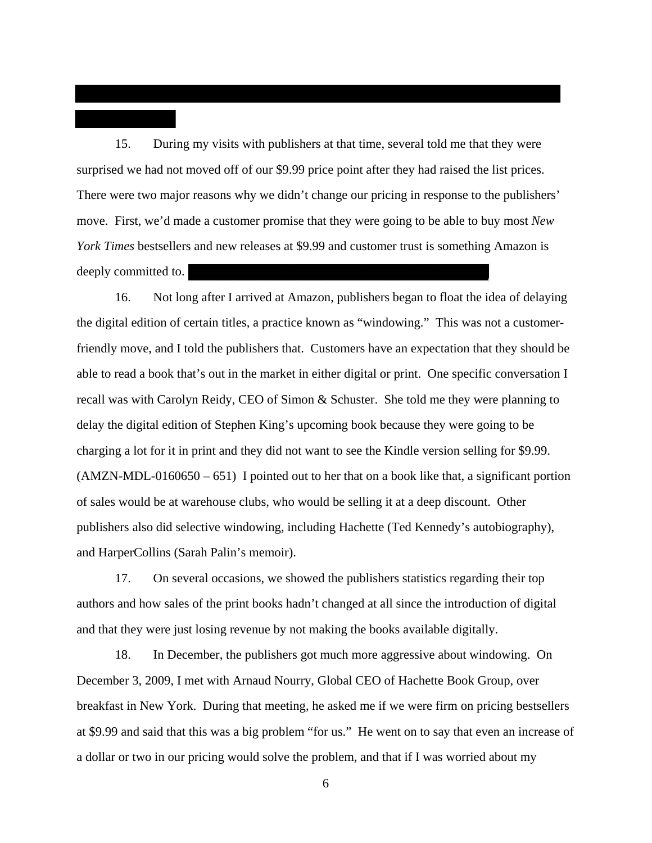15. During my visits with publishers at that time, several told me that they were surprised we had not moved off of our \$9.99 price point after they had raised the list prices. There were two major reasons why we didn't change our pricing in response to the publishers' move. First, we'd made a customer promise that they were going to be able to buy most *New York Times* bestsellers and new releases at \$9.99 and customer trust is something Amazon is deeply committed to.

16. Not long after I arrived at Amazon, publishers began to float the idea of delaying the digital edition of certain titles, a practice known as "windowing." This was not a customerfriendly move, and I told the publishers that. Customers have an expectation that they should be able to read a book that's out in the market in either digital or print. One specific conversation I recall was with Carolyn Reidy, CEO of Simon & Schuster. She told me they were planning to delay the digital edition of Stephen King's upcoming book because they were going to be charging a lot for it in print and they did not want to see the Kindle version selling for \$9.99. (AMZN-MDL-0160650 – 651) I pointed out to her that on a book like that, a significant portion of sales would be at warehouse clubs, who would be selling it at a deep discount. Other publishers also did selective windowing, including Hachette (Ted Kennedy's autobiography), and HarperCollins (Sarah Palin's memoir).

17. On several occasions, we showed the publishers statistics regarding their top authors and how sales of the print books hadn't changed at all since the introduction of digital and that they were just losing revenue by not making the books available digitally.

18. In December, the publishers got much more aggressive about windowing. On December 3, 2009, I met with Arnaud Nourry, Global CEO of Hachette Book Group, over breakfast in New York. During that meeting, he asked me if we were firm on pricing bestsellers at \$9.99 and said that this was a big problem "for us." He went on to say that even an increase of a dollar or two in our pricing would solve the problem, and that if I was worried about my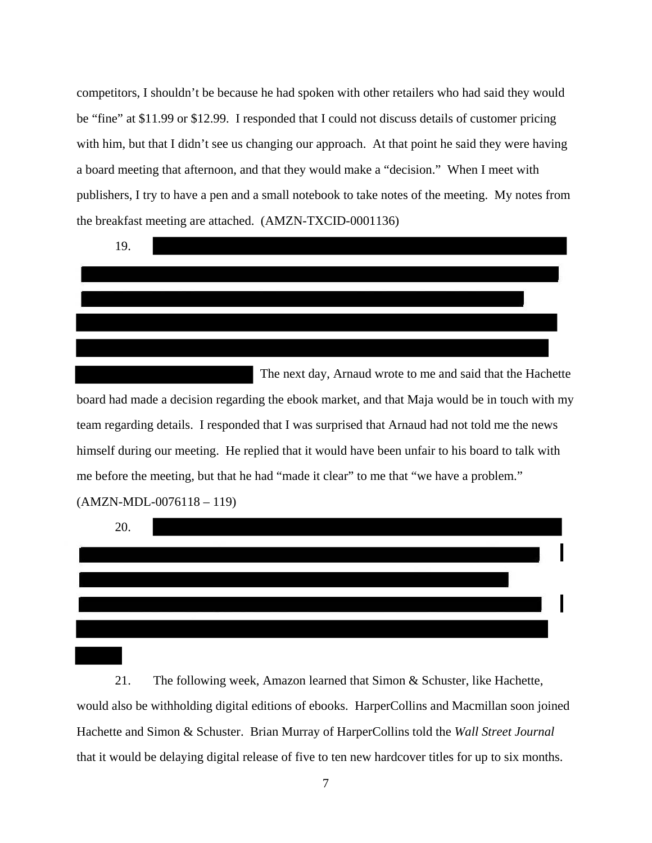competitors, I shouldn't be because he had spoken with other retailers who had said they would be "fine" at \$11.99 or \$12.99. I responded that I could not discuss details of customer pricing with him, but that I didn't see us changing our approach. At that point he said they were having a board meeting that afternoon, and that they would make a "decision." When I meet with publishers, I try to have a pen and a small notebook to take notes of the meeting. My notes from the breakfast meeting are attached. (AMZN-TXCID-0001136)



 The next day, Arnaud wrote to me and said that the Hachette board had made a decision regarding the ebook market, and that Maja would be in touch with my team regarding details. I responded that I was surprised that Arnaud had not told me the news himself during our meeting. He replied that it would have been unfair to his board to talk with me before the meeting, but that he had "made it clear" to me that "we have a problem." (AMZN-MDL-0076118 – 119)



21. The following week, Amazon learned that Simon & Schuster, like Hachette, would also be withholding digital editions of ebooks. HarperCollins and Macmillan soon joined Hachette and Simon & Schuster. Brian Murray of HarperCollins told the *Wall Street Journal* that it would be delaying digital release of five to ten new hardcover titles for up to six months.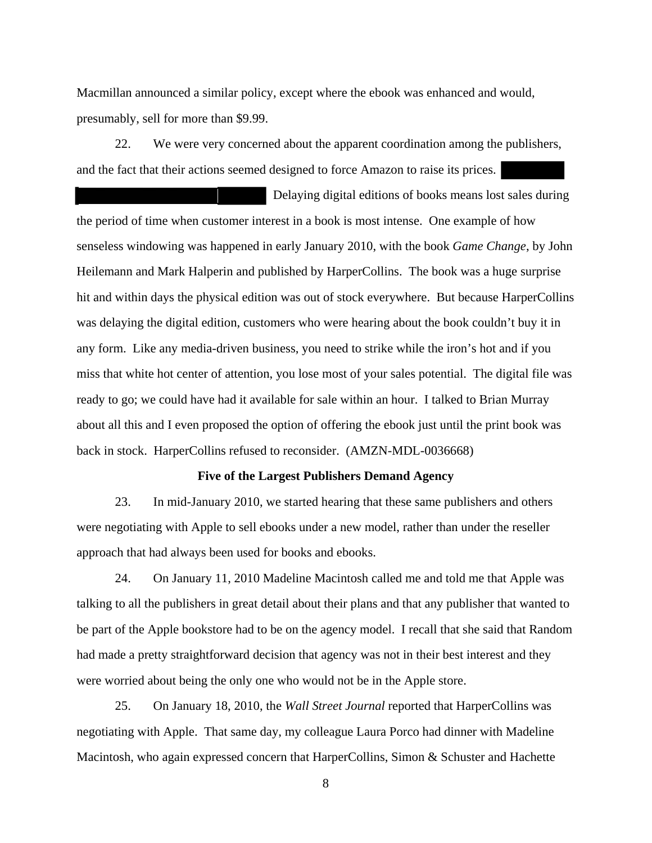Macmillan announced a similar policy, except where the ebook was enhanced and would, presumably, sell for more than \$9.99.

22. We were very concerned about the apparent coordination among the publishers, and the fact that their actions seemed designed to force Amazon to raise its prices.

 Delaying digital editions of books means lost sales during the period of time when customer interest in a book is most intense. One example of how senseless windowing was happened in early January 2010, with the book *Game Change*, by John Heilemann and Mark Halperin and published by HarperCollins. The book was a huge surprise hit and within days the physical edition was out of stock everywhere. But because HarperCollins was delaying the digital edition, customers who were hearing about the book couldn't buy it in any form. Like any media-driven business, you need to strike while the iron's hot and if you miss that white hot center of attention, you lose most of your sales potential. The digital file was ready to go; we could have had it available for sale within an hour. I talked to Brian Murray about all this and I even proposed the option of offering the ebook just until the print book was back in stock. HarperCollins refused to reconsider. (AMZN-MDL-0036668)

# **Five of the Largest Publishers Demand Agency**

23. In mid-January 2010, we started hearing that these same publishers and others were negotiating with Apple to sell ebooks under a new model, rather than under the reseller approach that had always been used for books and ebooks.

24. On January 11, 2010 Madeline Macintosh called me and told me that Apple was talking to all the publishers in great detail about their plans and that any publisher that wanted to be part of the Apple bookstore had to be on the agency model. I recall that she said that Random had made a pretty straightforward decision that agency was not in their best interest and they were worried about being the only one who would not be in the Apple store.

25. On January 18, 2010, the *Wall Street Journal* reported that HarperCollins was negotiating with Apple. That same day, my colleague Laura Porco had dinner with Madeline Macintosh, who again expressed concern that HarperCollins, Simon & Schuster and Hachette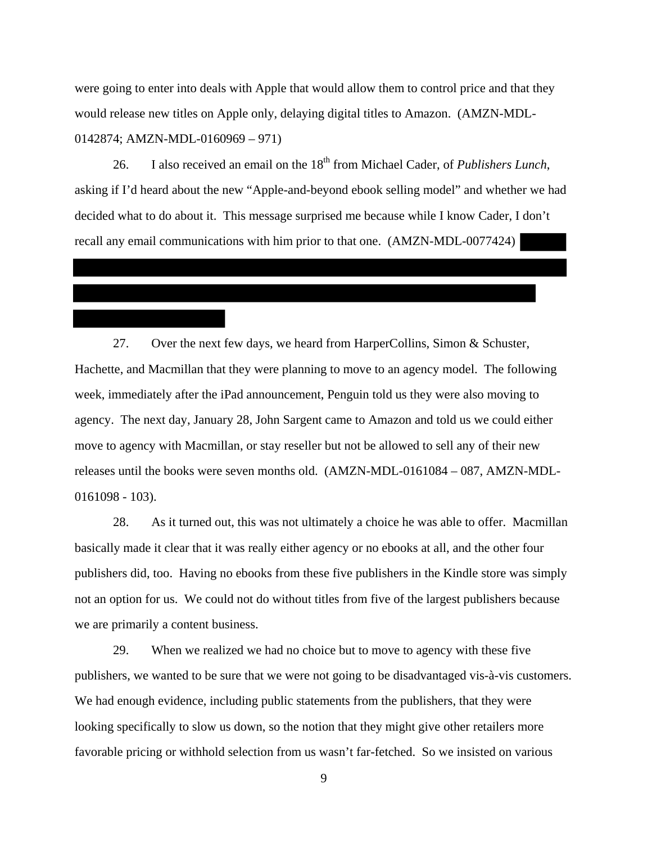were going to enter into deals with Apple that would allow them to control price and that they would release new titles on Apple only, delaying digital titles to Amazon. (AMZN-MDL-0142874; AMZN-MDL-0160969 – 971)

26. I also received an email on the 18<sup>th</sup> from Michael Cader, of *Publishers Lunch*, asking if I'd heard about the new "Apple-and-beyond ebook selling model" and whether we had decided what to do about it. This message surprised me because while I know Cader, I don't recall any email communications with him prior to that one. (AMZN-MDL-0077424)

27. Over the next few days, we heard from HarperCollins, Simon & Schuster, Hachette, and Macmillan that they were planning to move to an agency model. The following week, immediately after the iPad announcement, Penguin told us they were also moving to agency. The next day, January 28, John Sargent came to Amazon and told us we could either move to agency with Macmillan, or stay reseller but not be allowed to sell any of their new releases until the books were seven months old. (AMZN-MDL-0161084 – 087, AMZN-MDL-0161098 - 103).

28. As it turned out, this was not ultimately a choice he was able to offer. Macmillan basically made it clear that it was really either agency or no ebooks at all, and the other four publishers did, too. Having no ebooks from these five publishers in the Kindle store was simply not an option for us. We could not do without titles from five of the largest publishers because we are primarily a content business.

29. When we realized we had no choice but to move to agency with these five publishers, we wanted to be sure that we were not going to be disadvantaged vis-à-vis customers. We had enough evidence, including public statements from the publishers, that they were looking specifically to slow us down, so the notion that they might give other retailers more favorable pricing or withhold selection from us wasn't far-fetched. So we insisted on various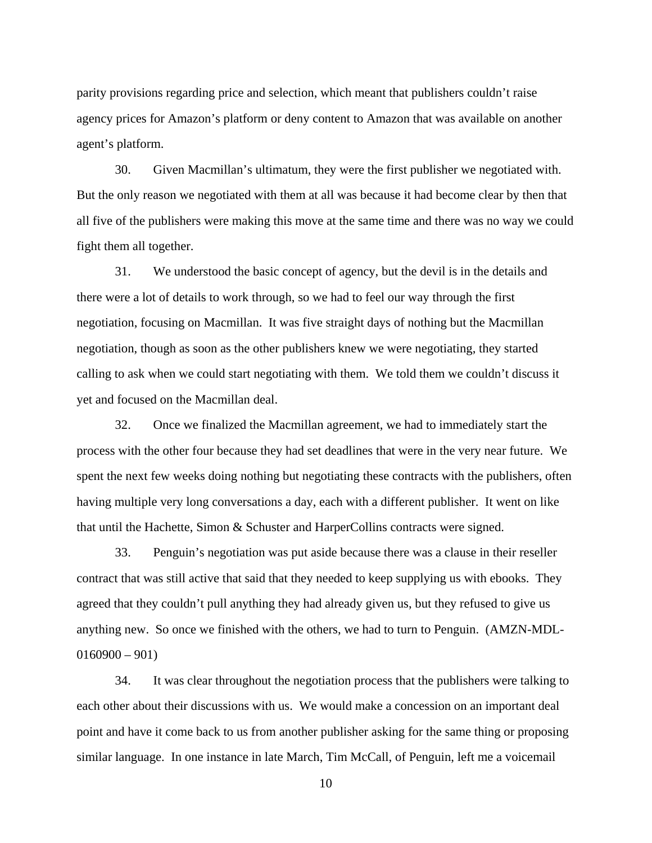parity provisions regarding price and selection, which meant that publishers couldn't raise agency prices for Amazon's platform or deny content to Amazon that was available on another agent's platform.

30. Given Macmillan's ultimatum, they were the first publisher we negotiated with. But the only reason we negotiated with them at all was because it had become clear by then that all five of the publishers were making this move at the same time and there was no way we could fight them all together.

31. We understood the basic concept of agency, but the devil is in the details and there were a lot of details to work through, so we had to feel our way through the first negotiation, focusing on Macmillan. It was five straight days of nothing but the Macmillan negotiation, though as soon as the other publishers knew we were negotiating, they started calling to ask when we could start negotiating with them. We told them we couldn't discuss it yet and focused on the Macmillan deal.

32. Once we finalized the Macmillan agreement, we had to immediately start the process with the other four because they had set deadlines that were in the very near future. We spent the next few weeks doing nothing but negotiating these contracts with the publishers, often having multiple very long conversations a day, each with a different publisher. It went on like that until the Hachette, Simon & Schuster and HarperCollins contracts were signed.

33. Penguin's negotiation was put aside because there was a clause in their reseller contract that was still active that said that they needed to keep supplying us with ebooks. They agreed that they couldn't pull anything they had already given us, but they refused to give us anything new. So once we finished with the others, we had to turn to Penguin. (AMZN-MDL- $0160900 - 901$ 

34. It was clear throughout the negotiation process that the publishers were talking to each other about their discussions with us. We would make a concession on an important deal point and have it come back to us from another publisher asking for the same thing or proposing similar language. In one instance in late March, Tim McCall, of Penguin, left me a voicemail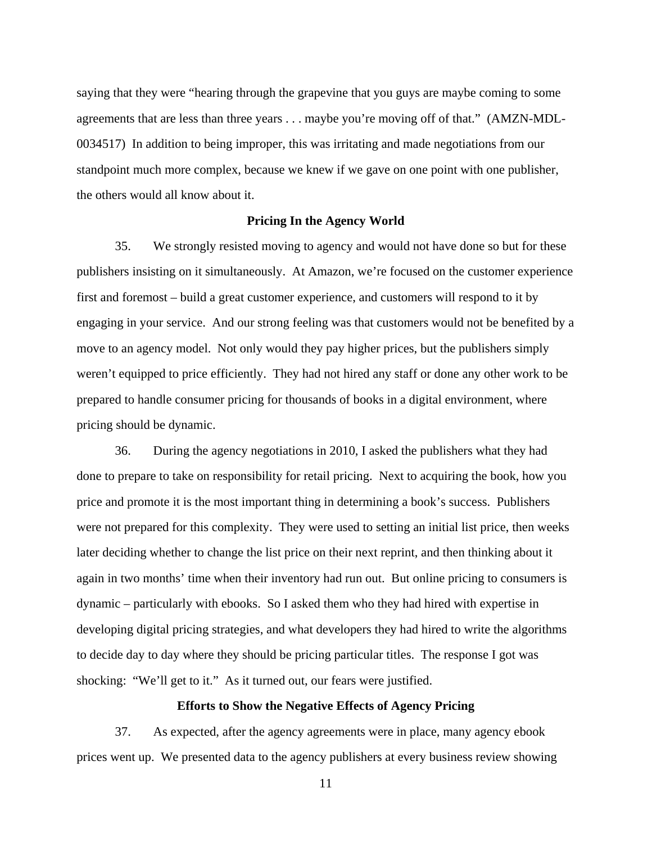saying that they were "hearing through the grapevine that you guys are maybe coming to some agreements that are less than three years . . . maybe you're moving off of that." (AMZN-MDL-0034517) In addition to being improper, this was irritating and made negotiations from our standpoint much more complex, because we knew if we gave on one point with one publisher, the others would all know about it.

#### **Pricing In the Agency World**

35. We strongly resisted moving to agency and would not have done so but for these publishers insisting on it simultaneously. At Amazon, we're focused on the customer experience first and foremost – build a great customer experience, and customers will respond to it by engaging in your service. And our strong feeling was that customers would not be benefited by a move to an agency model. Not only would they pay higher prices, but the publishers simply weren't equipped to price efficiently. They had not hired any staff or done any other work to be prepared to handle consumer pricing for thousands of books in a digital environment, where pricing should be dynamic.

36. During the agency negotiations in 2010, I asked the publishers what they had done to prepare to take on responsibility for retail pricing. Next to acquiring the book, how you price and promote it is the most important thing in determining a book's success. Publishers were not prepared for this complexity. They were used to setting an initial list price, then weeks later deciding whether to change the list price on their next reprint, and then thinking about it again in two months' time when their inventory had run out. But online pricing to consumers is dynamic – particularly with ebooks. So I asked them who they had hired with expertise in developing digital pricing strategies, and what developers they had hired to write the algorithms to decide day to day where they should be pricing particular titles. The response I got was shocking: "We'll get to it." As it turned out, our fears were justified.

## **Efforts to Show the Negative Effects of Agency Pricing**

37. As expected, after the agency agreements were in place, many agency ebook prices went up. We presented data to the agency publishers at every business review showing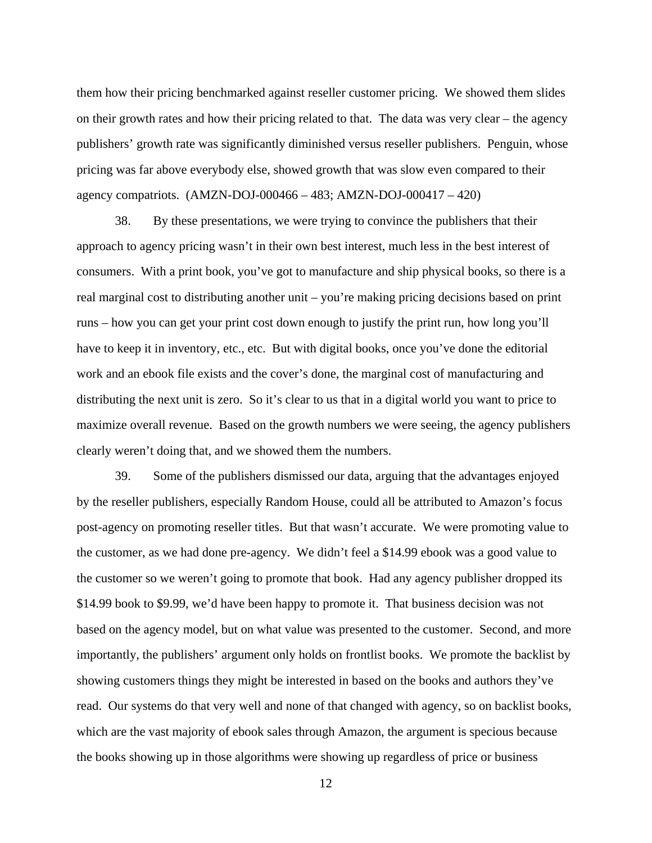them how their pricing benchmarked against reseller customer pricing. We showed them slides on their growth rates and how their pricing related to that. The data was very clear – the agency publishers' growth rate was significantly diminished versus reseller publishers. Penguin, whose pricing was far above everybody else, showed growth that was slow even compared to their agency compatriots. (AMZN-DOJ-000466 – 483; AMZN-DOJ-000417 – 420)

38. By these presentations, we were trying to convince the publishers that their approach to agency pricing wasn't in their own best interest, much less in the best interest of consumers. With a print book, you've got to manufacture and ship physical books, so there is a real marginal cost to distributing another unit – you're making pricing decisions based on print runs – how you can get your print cost down enough to justify the print run, how long you'll have to keep it in inventory, etc., etc. But with digital books, once you've done the editorial work and an ebook file exists and the cover's done, the marginal cost of manufacturing and distributing the next unit is zero. So it's clear to us that in a digital world you want to price to maximize overall revenue. Based on the growth numbers we were seeing, the agency publishers clearly weren't doing that, and we showed them the numbers.

39. Some of the publishers dismissed our data, arguing that the advantages enjoyed by the reseller publishers, especially Random House, could all be attributed to Amazon's focus post-agency on promoting reseller titles. But that wasn't accurate. We were promoting value to the customer, as we had done pre-agency. We didn't feel a \$14.99 ebook was a good value to the customer so we weren't going to promote that book. Had any agency publisher dropped its \$14.99 book to \$9.99, we'd have been happy to promote it. That business decision was not based on the agency model, but on what value was presented to the customer. Second, and more importantly, the publishers' argument only holds on frontlist books. We promote the backlist by showing customers things they might be interested in based on the books and authors they've read. Our systems do that very well and none of that changed with agency, so on backlist books, which are the vast majority of ebook sales through Amazon, the argument is specious because the books showing up in those algorithms were showing up regardless of price or business